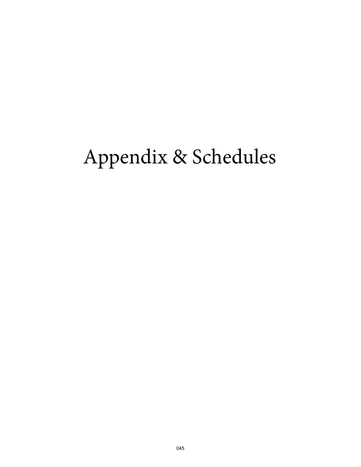# Appendix & Schedules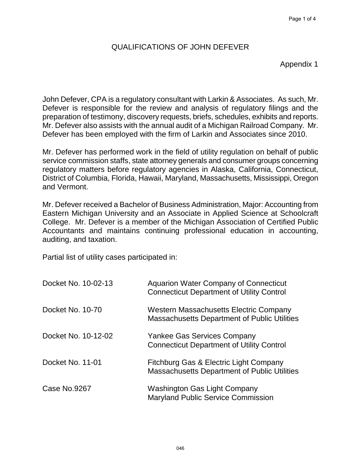Appendix 1

John Defever, CPA is a regulatory consultant with Larkin & Associates. As such, Mr. Defever is responsible for the review and analysis of regulatory filings and the preparation of testimony, discovery requests, briefs, schedules, exhibits and reports. Mr. Defever also assists with the annual audit of a Michigan Railroad Company. Mr. Defever has been employed with the firm of Larkin and Associates since 2010.

Mr. Defever has performed work in the field of utility regulation on behalf of public service commission staffs, state attorney generals and consumer groups concerning regulatory matters before regulatory agencies in Alaska, California, Connecticut, District of Columbia, Florida, Hawaii, Maryland, Massachusetts, Mississippi, Oregon and Vermont.

Mr. Defever received a Bachelor of Business Administration, Major: Accounting from Eastern Michigan University and an Associate in Applied Science at Schoolcraft College. Mr. Defever is a member of the Michigan Association of Certified Public Accountants and maintains continuing professional education in accounting, auditing, and taxation.

Partial list of utility cases participated in:

| Docket No. 10-02-13 | <b>Aquarion Water Company of Connecticut</b><br><b>Connecticut Department of Utility Control</b> |
|---------------------|--------------------------------------------------------------------------------------------------|
| Docket No. 10-70    | <b>Western Massachusetts Electric Company</b><br>Massachusetts Department of Public Utilities    |
| Docket No. 10-12-02 | <b>Yankee Gas Services Company</b><br><b>Connecticut Department of Utility Control</b>           |
| Docket No. 11-01    | Fitchburg Gas & Electric Light Company<br>Massachusetts Department of Public Utilities           |
| <b>Case No.9267</b> | <b>Washington Gas Light Company</b><br><b>Maryland Public Service Commission</b>                 |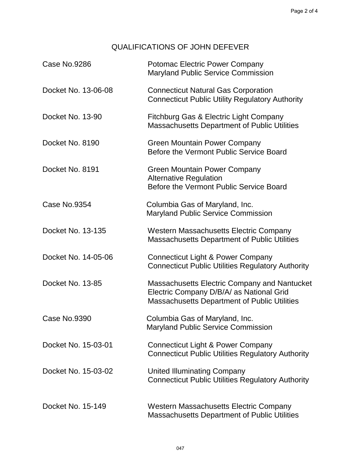| <b>Case No.9286</b> | <b>Potomac Electric Power Company</b><br><b>Maryland Public Service Commission</b>                                                              |
|---------------------|-------------------------------------------------------------------------------------------------------------------------------------------------|
| Docket No. 13-06-08 | <b>Connecticut Natural Gas Corporation</b><br><b>Connecticut Public Utility Regulatory Authority</b>                                            |
| Docket No. 13-90    | Fitchburg Gas & Electric Light Company<br><b>Massachusetts Department of Public Utilities</b>                                                   |
| Docket No. 8190     | <b>Green Mountain Power Company</b><br>Before the Vermont Public Service Board                                                                  |
| Docket No. 8191     | <b>Green Mountain Power Company</b><br><b>Alternative Regulation</b><br>Before the Vermont Public Service Board                                 |
| Case No.9354        | Columbia Gas of Maryland, Inc.<br><b>Maryland Public Service Commission</b>                                                                     |
| Docket No. 13-135   | <b>Western Massachusetts Electric Company</b><br><b>Massachusetts Department of Public Utilities</b>                                            |
| Docket No. 14-05-06 | Connecticut Light & Power Company<br><b>Connecticut Public Utilities Regulatory Authority</b>                                                   |
| Docket No. 13-85    | Massachusetts Electric Company and Nantucket<br>Electric Company D/B/A/ as National Grid<br><b>Massachusetts Department of Public Utilities</b> |
| <b>Case No.9390</b> | Columbia Gas of Maryland, Inc.<br><b>Maryland Public Service Commission</b>                                                                     |
| Docket No. 15-03-01 | Connecticut Light & Power Company<br><b>Connecticut Public Utilities Regulatory Authority</b>                                                   |
| Docket No. 15-03-02 | <b>United Illuminating Company</b><br><b>Connecticut Public Utilities Regulatory Authority</b>                                                  |
| Docket No. 15-149   | <b>Western Massachusetts Electric Company</b><br><b>Massachusetts Department of Public Utilities</b>                                            |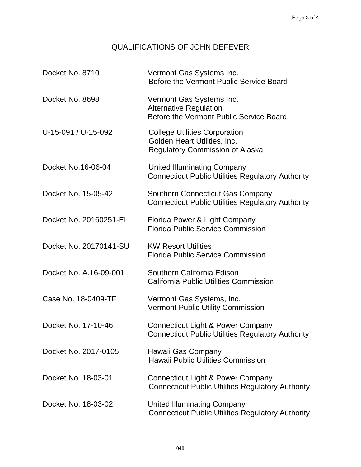| Docket No. 8710        | Vermont Gas Systems Inc.<br>Before the Vermont Public Service Board                                            |
|------------------------|----------------------------------------------------------------------------------------------------------------|
| Docket No. 8698        | Vermont Gas Systems Inc.<br><b>Alternative Regulation</b><br>Before the Vermont Public Service Board           |
| U-15-091 / U-15-092    | <b>College Utilities Corporation</b><br>Golden Heart Utilities, Inc.<br><b>Regulatory Commission of Alaska</b> |
| Docket No.16-06-04     | <b>United Illuminating Company</b><br><b>Connecticut Public Utilities Regulatory Authority</b>                 |
| Docket No. 15-05-42    | <b>Southern Connecticut Gas Company</b><br><b>Connecticut Public Utilities Regulatory Authority</b>            |
| Docket No. 20160251-EI | Florida Power & Light Company<br><b>Florida Public Service Commission</b>                                      |
| Docket No. 20170141-SU | <b>KW Resort Utilities</b><br><b>Florida Public Service Commission</b>                                         |
| Docket No. A.16-09-001 | Southern California Edison<br><b>California Public Utilities Commission</b>                                    |
| Case No. 18-0409-TF    | Vermont Gas Systems, Inc.<br><b>Vermont Public Utility Commission</b>                                          |
| Docket No. 17-10-46    | <b>Connecticut Light &amp; Power Company</b><br><b>Connecticut Public Utilities Regulatory Authority</b>       |
| Docket No. 2017-0105   | Hawaii Gas Company<br><b>Hawaii Public Utilities Commission</b>                                                |
| Docket No. 18-03-01    | <b>Connecticut Light &amp; Power Company</b><br><b>Connecticut Public Utilities Regulatory Authority</b>       |
| Docket No. 18-03-02    | <b>United Illuminating Company</b><br><b>Connecticut Public Utilities Regulatory Authority</b>                 |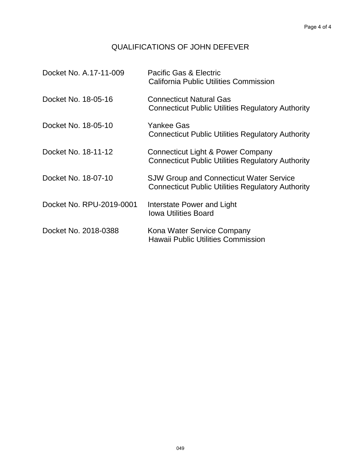| Docket No. A.17-11-009   | Pacific Gas & Electric<br>California Public Utilities Commission                                           |
|--------------------------|------------------------------------------------------------------------------------------------------------|
| Docket No. 18-05-16      | <b>Connecticut Natural Gas</b><br><b>Connecticut Public Utilities Regulatory Authority</b>                 |
| Docket No. 18-05-10      | Yankee Gas<br><b>Connecticut Public Utilities Regulatory Authority</b>                                     |
| Docket No. 18-11-12      | <b>Connecticut Light &amp; Power Company</b><br><b>Connecticut Public Utilities Regulatory Authority</b>   |
| Docket No. 18-07-10      | <b>SJW Group and Connecticut Water Service</b><br><b>Connecticut Public Utilities Regulatory Authority</b> |
| Docket No. RPU-2019-0001 | Interstate Power and Light<br><b>Iowa Utilities Board</b>                                                  |
| Docket No. 2018-0388     | Kona Water Service Company<br><b>Hawaii Public Utilities Commission</b>                                    |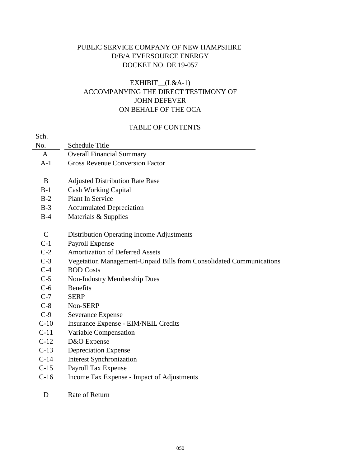## PUBLIC SERVICE COMPANY OF NEW HAMPSHIRE D/B/A EVERSOURCE ENERGY DOCKET NO. DE 19-057

## EXHIBIT\_\_(L&A-1) ACCOMPANYING THE DIRECT TESTIMONY OF JOHN DEFEVER ON BEHALF OF THE OCA

## TABLE OF CONTENTS

| Sch.          |                                                                     |
|---------------|---------------------------------------------------------------------|
| No.           | Schedule Title                                                      |
| A             | <b>Overall Financial Summary</b>                                    |
| $A-1$         | <b>Gross Revenue Conversion Factor</b>                              |
|               |                                                                     |
| B             | <b>Adjusted Distribution Rate Base</b>                              |
| $B-1$         | <b>Cash Working Capital</b>                                         |
| $B-2$         | Plant In Service                                                    |
| $B-3$         | <b>Accumulated Depreciation</b>                                     |
| $B-4$         | Materials & Supplies                                                |
|               |                                                                     |
| $\mathcal{C}$ | Distribution Operating Income Adjustments                           |
| $C-1$         | Payroll Expense                                                     |
| $C-2$         | <b>Amortization of Deferred Assets</b>                              |
| $C-3$         | Vegetation Management-Unpaid Bills from Consolidated Communications |
| $C-4$         | <b>BOD</b> Costs                                                    |
| $C-5$         | <b>Non-Industry Membership Dues</b>                                 |
| $C-6$         | <b>Benefits</b>                                                     |
| $C-7$         | <b>SERP</b>                                                         |
| $C-8$         | Non-SERP                                                            |
| $C-9$         | <b>Severance Expense</b>                                            |
| $C-10$        | Insurance Expense - EIM/NEIL Credits                                |
| $C-11$        | Variable Compensation                                               |
| $C-12$        | D&O Expense                                                         |
| $C-13$        | <b>Depreciation Expense</b>                                         |
| $C-14$        | <b>Interest Synchronization</b>                                     |
| $C-15$        | Payroll Tax Expense                                                 |
| $C-16$        | Income Tax Expense - Impact of Adjustments                          |
|               |                                                                     |

### D Rate of Return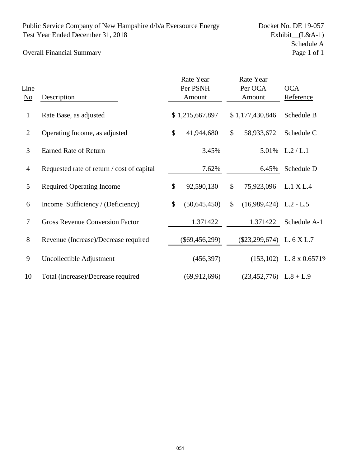## Overall Financial Summary

| Line<br>$\underline{\mathrm{No}}$ | Description                                |              | Rate Year<br>Per PSNH<br>Amount | Rate Year<br>Per OCA<br>Amount |                          | <b>OCA</b><br>Reference    |
|-----------------------------------|--------------------------------------------|--------------|---------------------------------|--------------------------------|--------------------------|----------------------------|
| $\mathbf{1}$                      | Rate Base, as adjusted                     |              | \$1,215,667,897                 |                                | \$1,177,430,846          | Schedule B                 |
| 2                                 | Operating Income, as adjusted              | $\mathbb{S}$ | 41,944,680                      | \$                             | 58,933,672               | Schedule C                 |
| 3                                 | <b>Earned Rate of Return</b>               |              | 3.45%                           |                                | 5.01%                    | L.2 / L.1                  |
| $\overline{4}$                    | Requested rate of return / cost of capital |              | 7.62%                           |                                | 6.45%                    | Schedule D                 |
| 5                                 | <b>Required Operating Income</b>           | \$           | 92,590,130                      | \$                             | 75,923,096               | L.1 X L.4                  |
| 6                                 | Income Sufficiency / (Deficiency)          | \$           | (50,645,450)                    | \$                             | $(16,989,424)$ L.2 - L.5 |                            |
| 7                                 | <b>Gross Revenue Conversion Factor</b>     |              | 1.371422                        |                                | 1.371422                 | Schedule A-1               |
| 8                                 | Revenue (Increase)/Decrease required       |              | $(\$69,456,299)$                |                                | $(\$23,299,674)$         | L. 6 X L.7                 |
| 9                                 | Uncollectible Adjustment                   |              | (456, 397)                      |                                |                          | $(153,102)$ L. 8 x 0.6571% |
| 10                                | Total (Increase)/Decrease required         |              | (69, 912, 696)                  |                                | $(23,452,776)$ L.8 + L.9 |                            |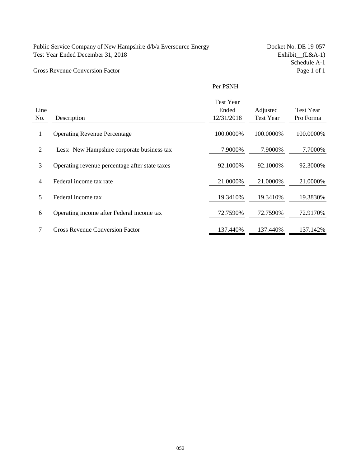### Gross Revenue Conversion Factor

Schedule A-1<br>Page 1 of 1

#### Per PSNH

|      |                                                | <b>Test Year</b> |                  |                  |
|------|------------------------------------------------|------------------|------------------|------------------|
| Line |                                                | Ended            | Adjusted         | <b>Test Year</b> |
| No.  | Description                                    | 12/31/2018       | <b>Test Year</b> | Pro Forma        |
| 1    | <b>Operating Revenue Percentage</b>            | 100.0000%        | 100.0000%        | 100.0000%        |
| 2    | Less: New Hampshire corporate business tax     | 7.9000%          | 7.9000%          | 7.7000%          |
| 3    | Operating revenue percentage after state taxes | 92.1000%         | 92.1000%         | 92.3000%         |
| 4    | Federal income tax rate                        | 21.0000%         | 21.0000%         | 21.0000\%        |
| 5    | Federal income tax                             | 19.3410\%        | 19.3410\%        | 19.3830\%        |
| 6    | Operating income after Federal income tax      | 72.7590%         | 72.7590%         | 72.9170\%        |
| 7    | <b>Gross Revenue Conversion Factor</b>         | 137.440%         | 137.440%         | 137.142%         |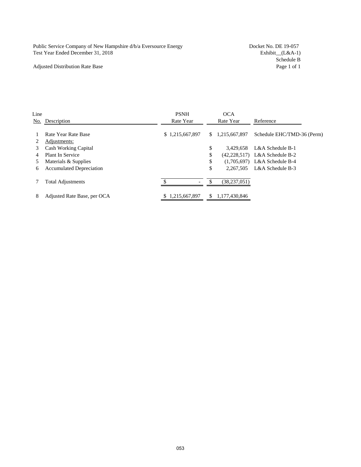#### Adjusted Distribution Rate Base

Schedule B<br>Page 1 of 1

| Line |                                 | <b>PSNH</b>     |    | <b>OCA</b>      |                                |
|------|---------------------------------|-----------------|----|-----------------|--------------------------------|
| No.  | Description                     | Rate Year       |    | Rate Year       | Reference                      |
|      | Rate Year Rate Base             | \$1,215,667,897 |    | \$1,215,667,897 | Schedule EHC/TMD-36 (Perm)     |
|      | Adjustments:                    |                 |    |                 |                                |
| 3    | <b>Cash Working Capital</b>     |                 | \$ | 3.429.658       | L&A Schedule B-1               |
|      | Plant In Service                |                 | \$ |                 | (42,228,517) L&A Schedule B-2  |
|      | Materials & Supplies            |                 | \$ |                 | $(1,705,697)$ L&A Schedule B-4 |
| 6    | <b>Accumulated Depreciation</b> |                 | \$ | 2,267,505       | L&A Schedule B-3               |
|      | <b>Total Adjustments</b>        |                 | £. | (38, 237, 051)  |                                |
| 8    | Adjusted Rate Base, per OCA     | \$1,215,667,897 |    | 1,177,430,846   |                                |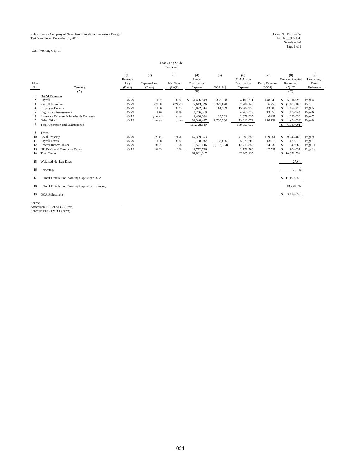Cash Working Capital

|         | Lead / Lag Study<br><b>Test Year</b>           |                |                     |           |                     |               |                   |               |                               |                   |
|---------|------------------------------------------------|----------------|---------------------|-----------|---------------------|---------------|-------------------|---------------|-------------------------------|-------------------|
|         |                                                | (1)<br>Revenue | (2)                 | (3)       | (4)<br>Annual       | (5)           | (6)<br>OCA Annual | (7)           | (8)<br><b>Working Capital</b> | (9)<br>Lead (Lag) |
| Line    |                                                | Lag            | <b>Expense Lead</b> | Net Days  | <b>Distribution</b> |               | Distribution      | Daily Expense | Requested                     | Days              |
| No.     | Category                                       | (Days)         | (Days)              | $(1)-(2)$ | Expense             | OCA Adj       | Expense           | (6/365)       | $(7)$ * $(3)$                 | Reference         |
|         | (A)                                            |                |                     |           | (B)                 |               |                   |               | (G)                           |                   |
|         | <b>O&amp;M Expenses</b>                        |                |                     |           |                     |               |                   |               |                               |                   |
| 2       | Payroll                                        | 45.79          | 11.97               | 33.82     | 54,496,899<br>\$    | 388.128       | 54, 108, 771      | 148,243       | 5,014,093<br>S                | Page 4            |
| 3       | Payroll Incentive                              | 45.79          | 270.00              | (224.21)  | 7,613,826           | 5,329,678     | 2,284,148         | 6,258         | \$<br>(1,403,100)             | N/A               |
|         | <b>Employee Benefits</b>                       | 45.79          | 11.96               | 33.83     | 16.022.044          | 114,109       | 15,907,935        | 43.583        | 1,474,273<br><sup>\$</sup>    | Page 5            |
| 5       | <b>Regulatory Assessments</b>                  | 45.79          | 12.10               | 33.69     | 4,766,319           |               | 4,766,319         | 13.058        | <b>S</b><br>439,944           | Page 6            |
| 6       | Insurance Expense & Injuries & Damages         | 45.79          | (158.71)            | 204.50    | 2,480,664           | 109,269       | 2,371,395         | 6,497         | 1,328,630<br><sup>\$</sup>    | Page 7            |
| 7       | Other O&M                                      | 45.79          | 45.95               | (0.16)    | 82,348,437          | 2,730,366     | 79,618,072        | 218,132       | $\mathcal{S}$<br>(34, 839)    | Page 8            |
| 8       | Total Operation and Maintenance                |                |                     |           | 167,728,189         |               | 159,056,639       |               | S<br>6,819,001                |                   |
| 9       | Taxes:                                         |                |                     |           |                     |               |                   |               |                               |                   |
| 10      | <b>Local Property</b>                          | 45.79          | (25.41)             | 71.20     | 47,399,353          |               | 47,399,353        | 129,861       | 9,246,483<br><sup>\$</sup>    | Page 9            |
| 11      | <b>Payroll Taxes</b>                           | 45.79          | 11.98               | 33.82     | 5,138,032           | 58,826        | 5,079,206         | 13,916        | <sup>\$</sup><br>470,573      | Page 10           |
| 12      | Federal Income Taxes                           | 45.79          | 30.01               | 15.78     | 6,521,146           | (6, 192, 704) | 12,713,850        | 34,832        | 549,660<br><sup>\$</sup>      | Page 11           |
| 13      | NH Profit and Enterprise Taxes                 | 45.79          | 31.99               | 13.80     | 2,772,786           |               | 2,772,786         | 7,597         | 104,837<br>-S                 | Page 12           |
| 14      | <b>Total Taxes</b>                             |                |                     |           | 61,831,317          |               | 67,965,195        |               | \$10,371,554                  |                   |
| 15      | Weighted Net Lag Days                          |                |                     |           |                     |               |                   |               | 27.64                         |                   |
| 16      | Percentage                                     |                |                     |           |                     |               |                   |               | 7.57%                         |                   |
| 17      | Total Distribution Working Capital per OCA     |                |                     |           |                     |               |                   |               | \$17,190,555                  |                   |
| 18      | Total Distribution Working Capital per Company |                |                     |           |                     |               |                   |               | 13,760,897                    |                   |
| 19      | OCA Adjustment                                 |                |                     |           |                     |               |                   |               | 3,429,658<br>-S               |                   |
| Source: |                                                |                |                     |           |                     |               |                   |               |                               |                   |

Source: Attachment EHC/TMD-2 (Perm) Schedule EHC/TMD-1 (Perm)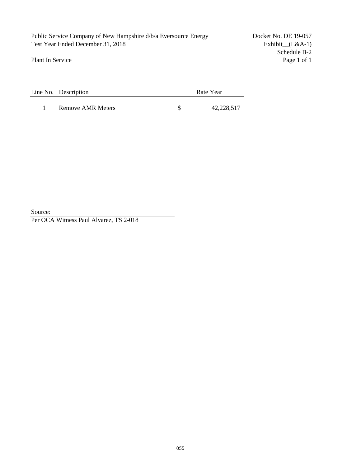Public Service Company of New Hampshire d/b/a Eversource Energy Docket No. DE 19-057 Test Year Ended December 31, 2018 Exhibit\_(L&A-1)

Plant In Service

Schedule B-2<br>Page 1 of 1

| Line No. Description | Rate Year |
|----------------------|-----------|
|                      |           |

1 Remove AMR Meters \$ 42,228,517

Source:

Per OCA Witness Paul Alvarez, TS 2-018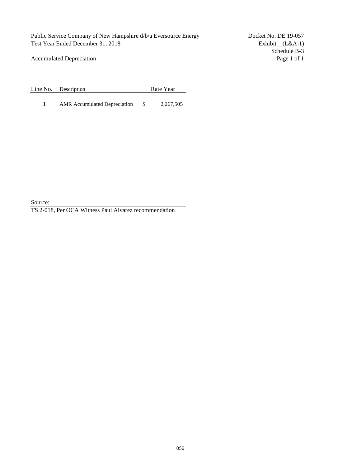Accumulated Depreciation

Line No. Description Rate Year

1 AMR Accumulated Depreciation  $$ 2,267,505$ 

Source:

TS 2-018, Per OCA Witness Paul Alvarez recommendation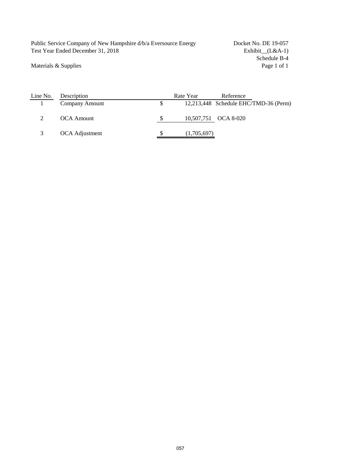Public Service Company of New Hampshire d/b/a Eversource Energy Docket No. DE 19-057 Test Year Ended December 31, 2018 Exhibit\_(L&A-1)

Materials & Supplies

Schedule B-4<br>Page 1 of 1

| Line No. | Description       | Rate Year   | Reference                             |
|----------|-------------------|-------------|---------------------------------------|
|          | Company Amount    |             | 12,213,448 Schedule EHC/TMD-36 (Perm) |
|          | <b>OCA</b> Amount |             | 10,507,751 OCA 8-020                  |
|          | OCA Adjustment    | (1,705,697) |                                       |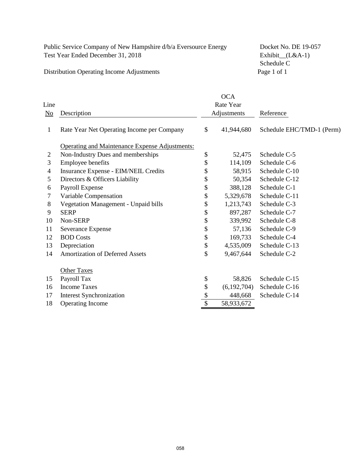Distribution Operating Income Adjustments

Schedule C<br>Page 1 of 1

| Line<br>$\underline{\mathrm{No}}$ | Description                                           |    | <b>OCA</b><br>Rate Year<br>Adjustments | Reference                 |  |
|-----------------------------------|-------------------------------------------------------|----|----------------------------------------|---------------------------|--|
| 1                                 | Rate Year Net Operating Income per Company            | \$ | 41,944,680                             | Schedule EHC/TMD-1 (Perm) |  |
|                                   | <b>Operating and Maintenance Expense Adjustments:</b> |    |                                        |                           |  |
| 2                                 | Non-Industry Dues and memberships                     | \$ | 52,475                                 | Schedule C-5              |  |
| 3                                 | <b>Employee benefits</b>                              | \$ | 114,109                                | Schedule C-6              |  |
| 4                                 | Insurance Expense - EIM/NEIL Credits                  | \$ | 58,915                                 | Schedule C-10             |  |
| 5                                 | Directors & Officers Liability                        | \$ | 50,354                                 | Schedule C-12             |  |
| 6                                 | Payroll Expense                                       | \$ | 388,128                                | Schedule C-1              |  |
| 7                                 | Variable Compensation                                 | \$ | 5,329,678                              | Schedule C-11             |  |
| 8                                 | Vegetation Management - Unpaid bills                  | \$ | 1,213,743                              | Schedule C-3              |  |
| 9                                 | <b>SERP</b>                                           | \$ | 897,287                                | Schedule C-7              |  |
| 10                                | Non-SERP                                              | \$ | 339,992                                | Schedule C-8              |  |
| 11                                | Severance Expense                                     | \$ | 57,136                                 | Schedule C-9              |  |
| 12                                | <b>BOD Costs</b>                                      | \$ | 169,733                                | Schedule C-4              |  |
| 13                                | Depreciation                                          | \$ | 4,535,009                              | Schedule C-13             |  |
| 14                                | <b>Amortization of Deferred Assets</b>                | \$ | 9,467,644                              | Schedule C-2              |  |
|                                   | <b>Other Taxes</b>                                    |    |                                        |                           |  |
| 15                                | Payroll Tax                                           | \$ | 58,826                                 | Schedule C-15             |  |
| 16                                | <b>Income Taxes</b>                                   | \$ | (6,192,704)                            | Schedule C-16             |  |
| 17                                | <b>Interest Synchronization</b>                       | \$ | 448,668                                | Schedule C-14             |  |
| 18                                | Operating Income                                      | \$ | 58,933,672                             |                           |  |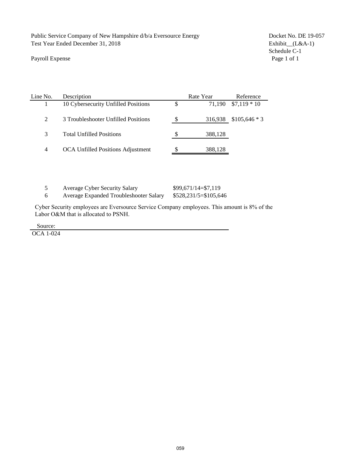#### Payroll Expense

Schedule C-1<br>Page 1 of 1

| Line No. | Description                              |          | Rate Year | Reference                 |
|----------|------------------------------------------|----------|-----------|---------------------------|
|          | 10 Cybersecurity Unfilled Positions      | \$       |           | $71,190$ \$7,119 * 10     |
| 2        | 3 Troubleshooter Unfilled Positions      | <b>S</b> |           | $316,938$ \$105,646 $*$ 3 |
| 3        | <b>Total Unfilled Positions</b>          |          | 388,128   |                           |
| 4        | <b>OCA Unfilled Positions Adjustment</b> |          | 388,128   |                           |

| <b>Average Cyber Security Salary</b>   | $$99,671/14 = $7,119$   |
|----------------------------------------|-------------------------|
| Average Expanded Troubleshooter Salary | $$528,231/5 = $105,646$ |

Cyber Security employees are Eversource Service Company employees. This amount is 8% of the Labor O&M that is allocated to PSNH.

Source:

OCA 1-024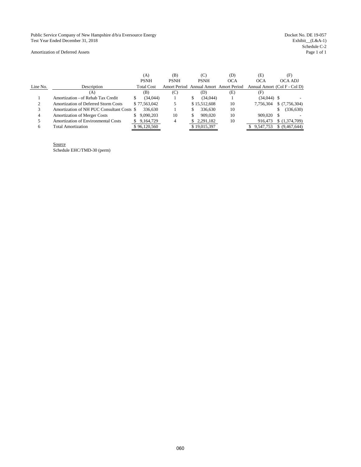Public Service Company of New Hampshire d/b/a Eversource Energy Docket No. DE 19-057 Test Year Ended December 31, 2018

Exhibit\_(L&A-1)<br>Schedule C-2<br>Page 1 of 1

Amortization of Deferred Assets

|          |                                            | (A)               | (B)         |    | (C)          | (D)                                    | (E)           | (F)                          |
|----------|--------------------------------------------|-------------------|-------------|----|--------------|----------------------------------------|---------------|------------------------------|
|          |                                            | <b>PSNH</b>       | <b>PSNH</b> |    | <b>PSNH</b>  | <b>OCA</b>                             | <b>OCA</b>    | OCA ADJ                      |
| Line No. | Description                                | <b>Total Cost</b> |             |    |              | Amort Period Annual Amort Amort Period |               | Annual Amort (Col F - Col D) |
|          | (A)                                        | (B)               | (C)         |    | (D)          | (E)                                    | (F)           |                              |
|          | Amortization - of Rehab Tax Credit         | (34.044)          |             | S  | (34.044)     |                                        | $(34.044)$ \$ |                              |
| ◠        | Amortization of Deferred Storm Costs       | \$77,563,042      |             |    | \$15,512,608 | 10                                     | 7.756.304     | \$(7,756,304)                |
|          | Amortization of NH PUC Consultant Costs \$ | 336,630           |             |    | 336,630      | 10                                     |               | (336, 630)                   |
| 4        | <b>Amortization of Merger Costs</b>        | \$9.090.203       | 10          | \$ | 909,020      | 10                                     | 909.020       |                              |
|          | <b>Amortization of Environmental Costs</b> | 9.164.729         |             |    | 2.291.182    | 10                                     | 916.473       | \$(1,374,709)                |
| 6        | Total Amortization                         | \$96,120,560      |             |    | \$19,015,397 |                                        | 9.547.753     | \$ (9,467,644)               |

Source Schedule EHC/TMD-30 (perm)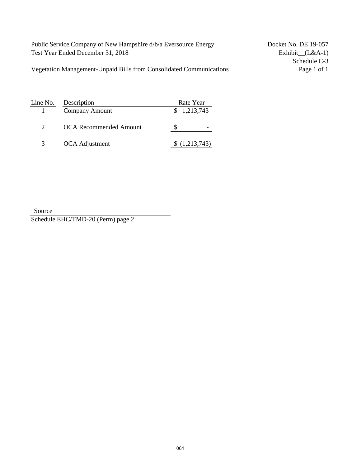Vegetation Management-Unpaid Bills from Consolidated Communications Page 1 of 1

Schedule C-3

| Line No. | Description                   | Rate Year   |
|----------|-------------------------------|-------------|
|          | Company Amount                | \$1,213,743 |
|          | <b>OCA Recommended Amount</b> |             |
| 3        | OCA Adjustment                | (1,213,743) |

Source Schedule EHC/TMD-20 (Perm) page 2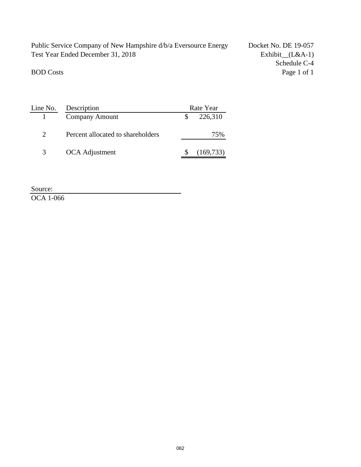Schedule C-4 BOD Costs Page 1 of 1

| Line No.                    | Description                       | Rate Year  |
|-----------------------------|-----------------------------------|------------|
|                             | <b>Company Amount</b>             | 226,310    |
| $\mathcal{D}_{\mathcal{L}}$ | Percent allocated to shareholders | 75%        |
| $\mathcal{R}$               | OCA Adjustment                    | (169, 733) |

Source:

OCA 1-066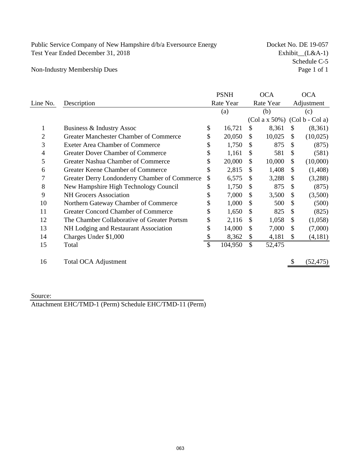Schedule C-5<br>Page 1 of 1

Non-Industry Membership Dues

|                |                                               | <b>PSNH</b>   |               | <b>OCA</b> |                           | <b>OCA</b>                      |
|----------------|-----------------------------------------------|---------------|---------------|------------|---------------------------|---------------------------------|
| Line No.       | Description                                   | Rate Year     |               | Rate Year  |                           | Adjustment                      |
|                |                                               | (a)           |               | (b)        |                           | (c)                             |
|                |                                               |               |               |            |                           | $(Col a x 50%) (Col b - Col a)$ |
| 1              | Business & Industry Assoc                     | \$<br>16,721  | \$            | 8,361      | \$                        | (8,361)                         |
| $\overline{2}$ | <b>Greater Manchester Chamber of Commerce</b> | \$<br>20,050  | $\mathbb{S}$  | 10,025     | \$                        | (10,025)                        |
| 3              | <b>Exeter Area Chamber of Commerce</b>        | \$<br>1,750   | <sup>\$</sup> | 875        | \$                        | (875)                           |
| 4              | <b>Greater Dover Chamber of Commerce</b>      | \$<br>1,161   | \$            | 581        | \$                        | (581)                           |
| 5              | Greater Nashua Chamber of Commerce            | \$<br>20,000  | \$            | 10,000     | \$                        | (10,000)                        |
| 6              | Greater Keene Chamber of Commerce             | \$<br>2,815   | \$            | 1,408      | \$                        | (1,408)                         |
|                | Greater Derry Londonderry Chamber of Commerce | \$<br>6,575   | <sup>\$</sup> | 3,288      | <sup>\$</sup>             | (3,288)                         |
| 8              | New Hampshire High Technology Council         | \$<br>1,750   | \$            | 875        | \$                        | (875)                           |
| 9              | <b>NH</b> Grocers Association                 | \$<br>7,000   | \$            | 3,500      | \$.                       | (3,500)                         |
| 10             | Northern Gateway Chamber of Commerce          | \$<br>1,000   | \$            | 500        | S                         | (500)                           |
| 11             | <b>Greater Concord Chamber of Commerce</b>    | \$<br>1,650   | \$            | 825        | \$                        | (825)                           |
| 12             | The Chamber Collaborative of Greater Portsm   | \$<br>2,116   | \$            | 1,058      | <sup>\$</sup>             | (1,058)                         |
| 13             | NH Lodging and Restaurant Association         | \$<br>14,000  | \$            | 7,000      | $\boldsymbol{\mathsf{S}}$ | (7,000)                         |
| 14             | Charges Under \$1,000                         | \$<br>8,362   | \$            | 4,181      | \$                        | (4,181)                         |
| 15             | Total                                         | \$<br>104,950 | $\mathbb{S}$  | 52,475     |                           |                                 |
| 16             | <b>Total OCA Adjustment</b>                   |               |               |            | \$                        | (52, 475)                       |

Source:

Attachment EHC/TMD-1 (Perm) Schedule EHC/TMD-11 (Perm)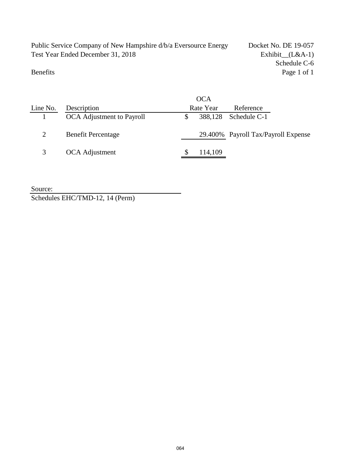Schedule C-6 Benefits Page 1 of 1

|          |                           | <b>OCA</b> |                                     |  |
|----------|---------------------------|------------|-------------------------------------|--|
| Line No. | Description               | Rate Year  | Reference                           |  |
|          | OCA Adjustment to Payroll |            | 388,128 Schedule C-1                |  |
|          | <b>Benefit Percentage</b> |            | 29.400% Payroll Tax/Payroll Expense |  |
|          | OCA Adjustment            | 114,109    |                                     |  |

Source: Schedules EHC/TMD-12, 14 (Perm)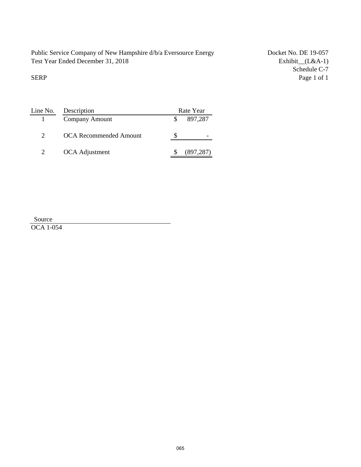Schedule C-7<br>Page 1 of 1 SERP Page 1 of 1

| Line No.                    | Description                   | Rate Year  |
|-----------------------------|-------------------------------|------------|
|                             | Company Amount                | 897,287    |
| $\mathcal{D}_{\mathcal{L}}$ | <b>OCA Recommended Amount</b> |            |
| 2                           | OCA Adjustment                | (897, 287) |

| Source           |  |
|------------------|--|
| <b>OCA 1-054</b> |  |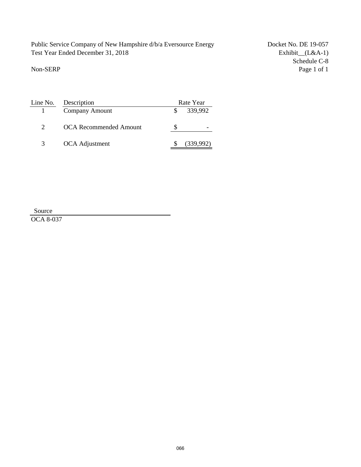Schedule C-8<br>Page 1 of 1 Non-SERP Page 1 of 1

| Line No. | Description            | Rate Year |
|----------|------------------------|-----------|
|          | <b>Company Amount</b>  | 339,992   |
|          | OCA Recommended Amount |           |
| 3        | OCA Adjustment         | (339,992) |

Source

OCA 8-037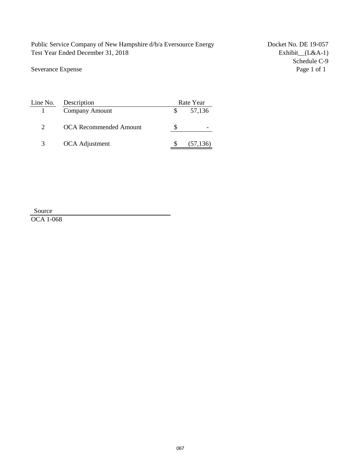Severance Expense

Schedule C-9<br>Page 1 of 1

| Line No.      | Description                   | Rate Year |
|---------------|-------------------------------|-----------|
|               | <b>Company Amount</b>         | 57,136    |
|               | <b>OCA Recommended Amount</b> |           |
| $\mathcal{E}$ | OCA Adjustment                | (57, 136) |

Source

OCA 1-068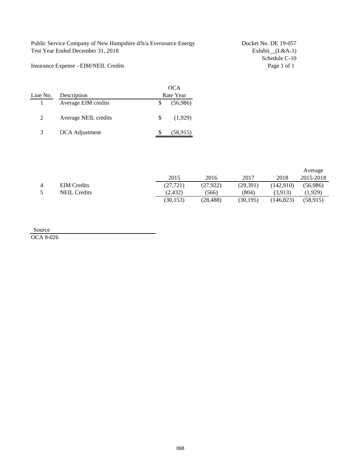Schedule C-10<br>Page 1 of 1

Insurance Expense - EIM/NEIL Credits

| Line No. | Description          |   | OCA<br>Rate Year |
|----------|----------------------|---|------------------|
|          | Average EIM credits  |   | (56,986)         |
| 2        | Average NEIL credits | S | (1,929)          |
| 3        | OCA Adjustment       |   | (58, 915)        |

|                |                     |           |           |           |            | Average   |
|----------------|---------------------|-----------|-----------|-----------|------------|-----------|
|                |                     | 2015      | 2016      | 2017      | 2018       | 2015-2018 |
| $\overline{4}$ | <b>EIM</b> Credits  | (27, 721) | (27, 922) | (29, 391) | (142.910)  | (56.986)  |
| $\sim$         | <b>NEIL Credits</b> | (2, 432)  | (566)     | (804)     | (3.913)    | (1.929)   |
|                |                     | (30, 153) | (28, 488) | (30, 195) | (146, 823) | (58.915)  |

Source

OCA 8-026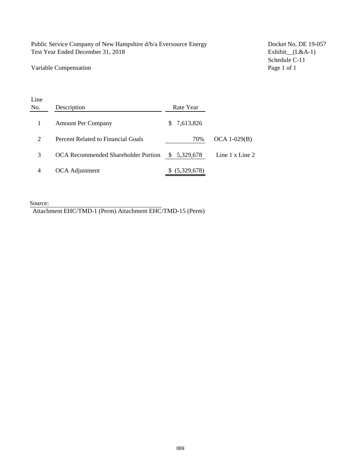Public Service Company of New Hampshire d/b/a Eversource Energy Docket No. DE 19-057 Test Year Ended December 31, 2018 Exhibit\_(L&A-1)

#### Variable Compensation **Page 1 of 1**

Schedule C-11

| No.<br>Description |                                     | Rate Year             |                          |
|--------------------|-------------------------------------|-----------------------|--------------------------|
|                    | <b>Amount Per Company</b>           | 7,613,826<br>S.       |                          |
| 2                  | Percent Related to Financial Goals  | 70%                   | $OCA 1-029(B)$           |
| 3                  | OCA Recommended Shareholder Portion | 5,329,678<br><b>S</b> | Line $1 \times$ Line $2$ |
| 4                  | OCA Adjustment                      | (5,329,678)           |                          |

Source:

Line

Attachment EHC/TMD-1 (Perm) Attachment EHC/TMD-15 (Perm)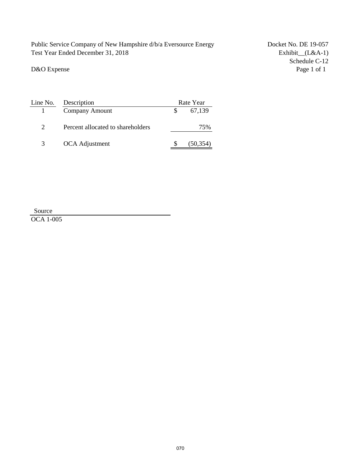D&O Expense

Schedule C-12<br>Page 1 of 1

| Line No.      | Description                       |  | Rate Year |  |  |
|---------------|-----------------------------------|--|-----------|--|--|
|               | <b>Company Amount</b>             |  | 67,139    |  |  |
| $\mathcal{D}$ | Percent allocated to shareholders |  | 75%       |  |  |
| $\mathcal{R}$ | OCA Adjustment                    |  | (50,354)  |  |  |

Source

OCA 1-005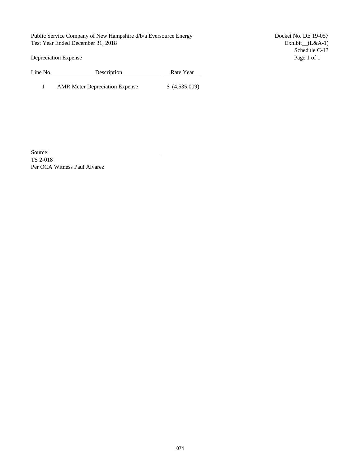Depreciation Expense Page 1 of 1

Line No. Description Rate Year

1 AMR Meter Depreciation Expense \$ (4,535,009)

Schedule C-13

Source:

TS 2-018 Per OCA Witness Paul Alvarez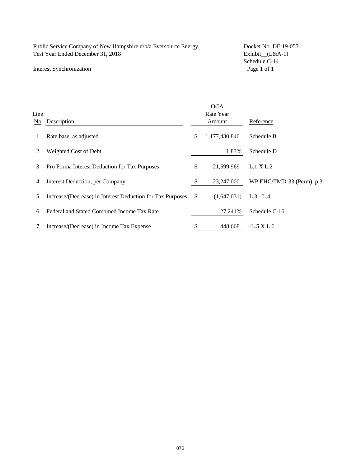#### Interest Synchronization

Schedule C-14<br>Page 1 of 1

|      |                                                            |               | <b>OCA</b>    |                           |
|------|------------------------------------------------------------|---------------|---------------|---------------------------|
| Line |                                                            |               | Rate Year     |                           |
| No.  | Description                                                |               | Amount        | Reference                 |
|      | Rate base, as adjusted                                     | \$            | 1,177,430,846 | Schedule B                |
| 2    | Weighted Cost of Debt                                      |               | 1.83%         | Schedule D                |
| 3    | Pro Forma Interest Deduction for Tax Purposes              | \$            | 21,599,969    | L.1 X L.2                 |
| 4    | <b>Interest Deduction</b> , per Company                    | <sup>\$</sup> | 23,247,000    | WP EHC/TMD-33 (Perm), p.3 |
| 5.   | Increase/(Decrease) in Interest Deduction for Tax Purposes | <sup>\$</sup> | (1,647,031)   | $L.3 - L.4$               |
| 6    | Federal and Stated Combined Income Tax Rate                |               | 27.241\%      | Schedule C-16             |
|      | Increase/(Decrease) in Income Tax Expense                  | S             | 448,668       | -L.5 X L.6                |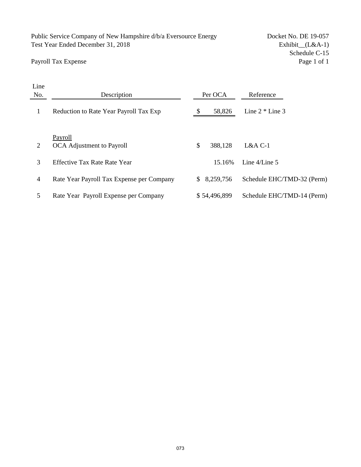Payroll Tax Expense

Schedule C-15<br>Page 1 of 1

| Line           |                                           |                 |                            |
|----------------|-------------------------------------------|-----------------|----------------------------|
| No.            | Description                               | Per OCA         | Reference                  |
| 1              | Reduction to Rate Year Payroll Tax Exp    | -S<br>58,826    | Line $2 *$ Line 3          |
|                | Payroll                                   |                 |                            |
| $\overline{2}$ | OCA Adjustment to Payroll                 | \$<br>388,128   | $L&A C-1$                  |
| 3              | <b>Effective Tax Rate Rate Year</b>       | 15.16%          | Line $4/L$ ine 5           |
| $\overline{4}$ | Rate Year Payroll Tax Expense per Company | 8,259,756<br>S. | Schedule EHC/TMD-32 (Perm) |
| 5              | Rate Year Payroll Expense per Company     | \$54,496,899    | Schedule EHC/TMD-14 (Perm) |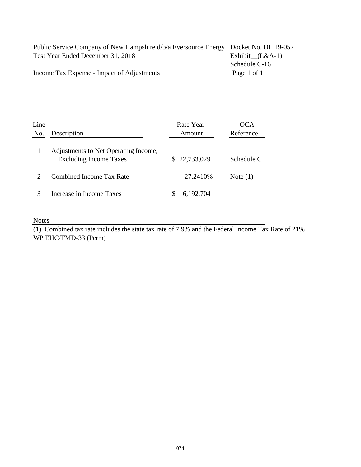| Public Service Company of New Hampshire d/b/a Eversource Energy Docket No. DE 19-057 |                   |
|--------------------------------------------------------------------------------------|-------------------|
| Test Year Ended December 31, 2018                                                    | Exhibit $(L&A-1)$ |
|                                                                                      | Schedule C-16     |
| Income Tax Expense - Impact of Adjustments                                           | Page 1 of 1       |

| Line |                                                                       | Rate Year    | OCA        |
|------|-----------------------------------------------------------------------|--------------|------------|
| No.  | Description                                                           | Amount       | Reference  |
|      | Adjustments to Net Operating Income,<br><b>Excluding Income Taxes</b> | \$22,733,029 | Schedule C |
|      | Combined Income Tax Rate                                              | 27.2410\%    | Note $(1)$ |
|      | Increase in Income Taxes                                              | 6,192,704    |            |

Notes

(1) Combined tax rate includes the state tax rate of 7.9% and the Federal Income Tax Rate of 21% WP EHC/TMD-33 (Perm)